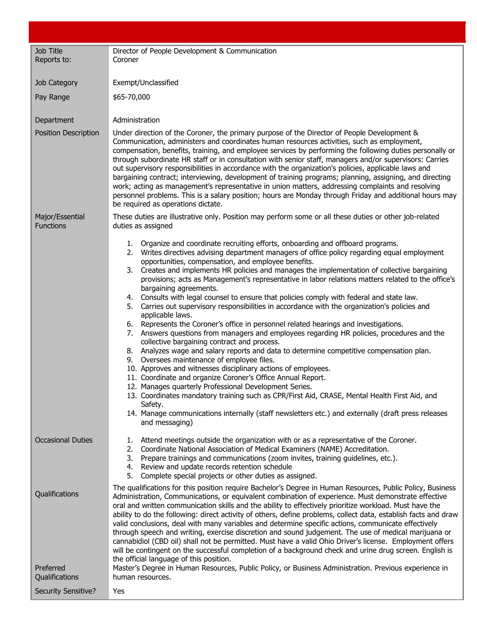| Job Title<br>Reports to:            | Director of People Development & Communication<br>Coroner                                                                                                                                                                                                                                                                                                                                                                                                                                                                                                                                                                                                                                                                                                                                                                                                                                                                                                                                                                                                                                                                                                                                                                                                                                                                                                                                                                                                                                                       |
|-------------------------------------|-----------------------------------------------------------------------------------------------------------------------------------------------------------------------------------------------------------------------------------------------------------------------------------------------------------------------------------------------------------------------------------------------------------------------------------------------------------------------------------------------------------------------------------------------------------------------------------------------------------------------------------------------------------------------------------------------------------------------------------------------------------------------------------------------------------------------------------------------------------------------------------------------------------------------------------------------------------------------------------------------------------------------------------------------------------------------------------------------------------------------------------------------------------------------------------------------------------------------------------------------------------------------------------------------------------------------------------------------------------------------------------------------------------------------------------------------------------------------------------------------------------------|
|                                     |                                                                                                                                                                                                                                                                                                                                                                                                                                                                                                                                                                                                                                                                                                                                                                                                                                                                                                                                                                                                                                                                                                                                                                                                                                                                                                                                                                                                                                                                                                                 |
| Job Category                        | Exempt/Unclassified                                                                                                                                                                                                                                                                                                                                                                                                                                                                                                                                                                                                                                                                                                                                                                                                                                                                                                                                                                                                                                                                                                                                                                                                                                                                                                                                                                                                                                                                                             |
| Pay Range                           | \$65-70,000                                                                                                                                                                                                                                                                                                                                                                                                                                                                                                                                                                                                                                                                                                                                                                                                                                                                                                                                                                                                                                                                                                                                                                                                                                                                                                                                                                                                                                                                                                     |
| Department                          | Administration                                                                                                                                                                                                                                                                                                                                                                                                                                                                                                                                                                                                                                                                                                                                                                                                                                                                                                                                                                                                                                                                                                                                                                                                                                                                                                                                                                                                                                                                                                  |
| <b>Position Description</b>         | Under direction of the Coroner, the primary purpose of the Director of People Development &<br>Communication, administers and coordinates human resources activities, such as employment,<br>compensation, benefits, training, and employee services by performing the following duties personally or<br>through subordinate HR staff or in consultation with senior staff, managers and/or supervisors: Carries<br>out supervisory responsibilities in accordance with the organization's policies, applicable laws and<br>bargaining contract; interviewing, development of training programs; planning, assigning, and directing<br>work; acting as management's representative in union matters, addressing complaints and resolving<br>personnel problems. This is a salary position; hours are Monday through Friday and additional hours may<br>be required as operations dictate.                                                                                                                                                                                                                                                                                                                                                                                                                                                                                                                                                                                                                       |
| Major/Essential<br><b>Functions</b> | These duties are illustrative only. Position may perform some or all these duties or other job-related<br>duties as assigned                                                                                                                                                                                                                                                                                                                                                                                                                                                                                                                                                                                                                                                                                                                                                                                                                                                                                                                                                                                                                                                                                                                                                                                                                                                                                                                                                                                    |
|                                     | 1. Organize and coordinate recruiting efforts, onboarding and offboard programs.<br>2. Writes directives advising department managers of office policy regarding equal employment<br>opportunities, compensation, and employee benefits.<br>Creates and implements HR policies and manages the implementation of collective bargaining<br>3.<br>provisions; acts as Management's representative in labor relations matters related to the office's<br>bargaining agreements.<br>4. Consults with legal counsel to ensure that policies comply with federal and state law.<br>Carries out supervisory responsibilities in accordance with the organization's policies and<br>5.<br>applicable laws.<br>6. Represents the Coroner's office in personnel related hearings and investigations.<br>7. Answers questions from managers and employees regarding HR policies, procedures and the<br>collective bargaining contract and process.<br>8. Analyzes wage and salary reports and data to determine competitive compensation plan.<br>9. Oversees maintenance of employee files.<br>10. Approves and witnesses disciplinary actions of employees.<br>11. Coordinate and organize Coroner's Office Annual Report.<br>12. Manages quarterly Professional Development Series.<br>13. Coordinates mandatory training such as CPR/First Aid, CRASE, Mental Health First Aid, and<br>Safety.<br>14. Manage communications internally (staff newsletters etc.) and externally (draft press releases<br>and messaging) |
| <b>Occasional Duties</b>            | Attend meetings outside the organization with or as a representative of the Coroner.<br>1.<br>Coordinate National Association of Medical Examiners (NAME) Accreditation.<br>2.<br>Prepare trainings and communications (zoom invites, training guidelines, etc.).<br>3.<br>Review and update records retention schedule<br>4.<br>Complete special projects or other duties as assigned.<br>5.                                                                                                                                                                                                                                                                                                                                                                                                                                                                                                                                                                                                                                                                                                                                                                                                                                                                                                                                                                                                                                                                                                                   |
| Qualifications                      | The qualifications for this position require Bachelor's Degree in Human Resources, Public Policy, Business<br>Administration, Communications, or equivalent combination of experience. Must demonstrate effective<br>oral and written communication skills and the ability to effectively prioritize workload. Must have the<br>ability to do the following: direct activity of others, define problems, collect data, establish facts and draw<br>valid conclusions, deal with many variables and determine specific actions, communicate effectively<br>through speech and writing, exercise discretion and sound judgement. The use of medical marijuana or<br>cannabidiol (CBD oil) shall not be permitted. Must have a valid Ohio Driver's license. Employment offers<br>will be contingent on the successful completion of a background check and urine drug screen. English is<br>the official language of this position.                                                                                                                                                                                                                                                                                                                                                                                                                                                                                                                                                                                |
| Preferred<br>Qualifications         | Master's Degree in Human Resources, Public Policy, or Business Administration. Previous experience in<br>human resources.                                                                                                                                                                                                                                                                                                                                                                                                                                                                                                                                                                                                                                                                                                                                                                                                                                                                                                                                                                                                                                                                                                                                                                                                                                                                                                                                                                                       |
| <b>Security Sensitive?</b>          | Yes                                                                                                                                                                                                                                                                                                                                                                                                                                                                                                                                                                                                                                                                                                                                                                                                                                                                                                                                                                                                                                                                                                                                                                                                                                                                                                                                                                                                                                                                                                             |